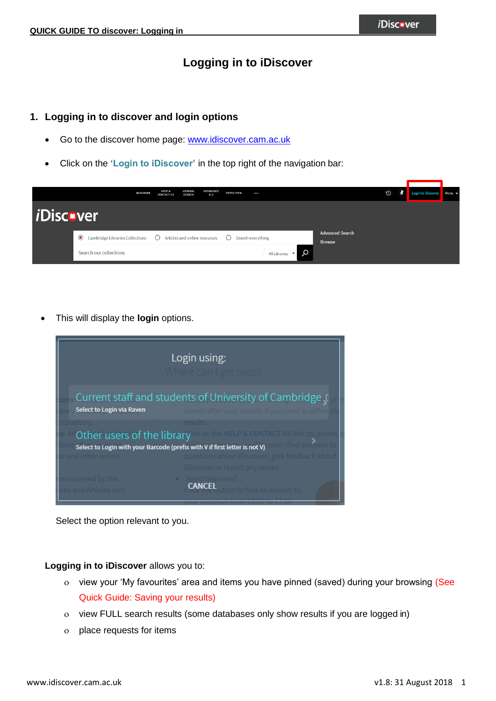## **Logging in to iDiscover**

### **1. Logging in to discover and login options**

- Go to the discover home page: [www.idiscover.cam.ac.uk](http://www.idiscover.cam.ac.uk/)
- Click on the **'Login to iDiscover'** in the top right of the navigation bar:



This will display the **login** options.



Select the option relevant to you.

**Logging in to iDiscover** allows you to:

- o view your 'My favourites' area and items you have pinned (saved) during your browsing (See Quick Guide: Saving your results)
- o view FULL search results (some databases only show results if you are logged in)
- place requests for items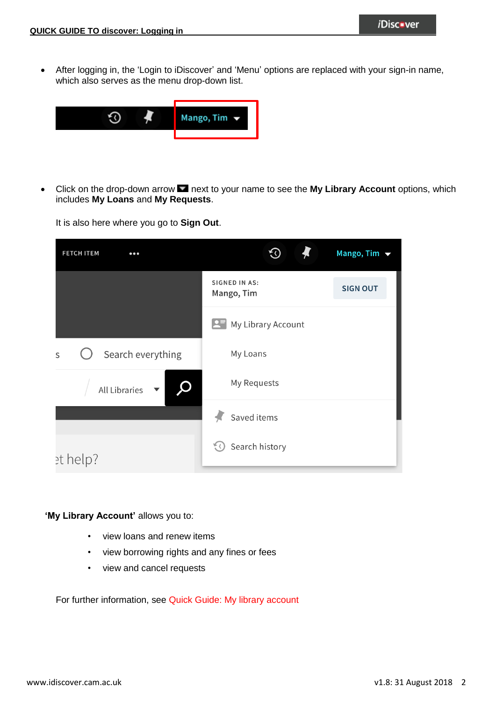After logging in, the 'Login to iDiscover' and 'Menu' options are replaced with your sign-in name, which also serves as the menu drop-down list.



• Click on the drop-down arrow **Integrat to your name to see the My Library Account** options, which includes **My Loans** and **My Requests**.

It is also here where you go to **Sign Out**.

| <b>FETCH ITEM</b><br>$\bullet\bullet\bullet$ |                                    | Mango, Tim $\blacktriangledown$ |
|----------------------------------------------|------------------------------------|---------------------------------|
|                                              | <b>SIGNED IN AS:</b><br>Mango, Tim | <b>SIGN OUT</b>                 |
|                                              | My Library Account                 |                                 |
| Search everything<br>S                       | My Loans                           |                                 |
| All Libraries                                | My Requests                        |                                 |
|                                              | Saved items                        |                                 |
| et help?                                     | Search history<br>そく               |                                 |

'My Library Account' allows you to:

- view loans and renew items
- view borrowing rights and any fines or fees
- view and cancel requests

For further information, see Quick Guide: My library account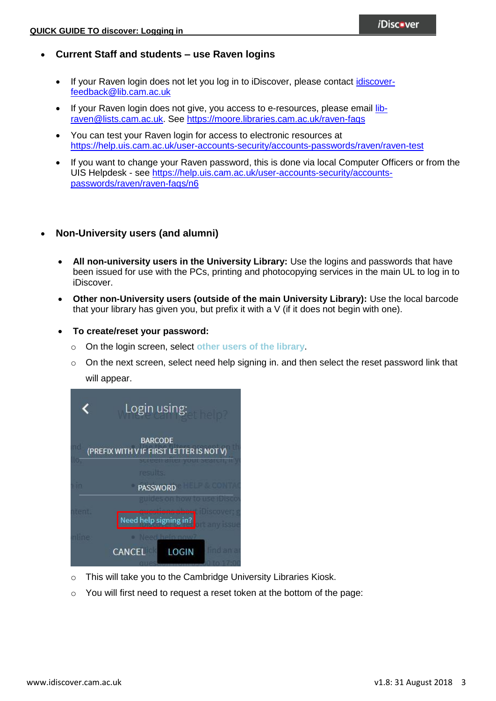- **Current Staff and students – use Raven logins** 
	- If your Raven login does not let you log in to iDiscover, please contact [idiscover](mailto:idiscover-feedback@lib.cam.ac.uk?subject=Raven%20login%20won)[feedback@lib.cam.ac.uk](mailto:idiscover-feedback@lib.cam.ac.uk?subject=Raven%20login%20won)
	- If your Raven login does not give, you access to e-resources, please email [lib](mailto:lib-raven@lists.cam.ac.uk)[raven@lists.cam.ac.uk.](mailto:lib-raven@lists.cam.ac.uk) See<https://moore.libraries.cam.ac.uk/raven-faqs>
	- You can test your Raven login for access to electronic resources at <https://help.uis.cam.ac.uk/user-accounts-security/accounts-passwords/raven/raven-test>
	- If you want to change your Raven password, this is done via local Computer Officers or from the UIS Helpdesk - see [https://help.uis.cam.ac.uk/user-accounts-security/accounts](https://help.uis.cam.ac.uk/user-accounts-security/accounts-passwords/raven/raven-faqs/n6)[passwords/raven/raven-faqs/n6](https://help.uis.cam.ac.uk/user-accounts-security/accounts-passwords/raven/raven-faqs/n6)

#### **Non-University users (and alumni)**

- **All non-university users in the University Library:** Use the logins and passwords that have been issued for use with the PCs, printing and photocopying services in the main UL to log in to iDiscover.
- **Other non-University users (outside of the main University Library):** Use the local barcode that your library has given you, but prefix it with a V (if it does not begin with one).
- **To create/reset your password:**
	- o On the login screen, select **other users of the library**.
	- o On the next screen, select need help signing in. and then select the reset password link that will appear.

|      | Login using:                                               |
|------|------------------------------------------------------------|
|      | <b>BARCODE</b><br>(PREFIX WITH V IF FIRST LETTER IS NOT V) |
|      | results:                                                   |
|      | 46 I P<br><b>PASSWORD</b>                                  |
| ment | guides on how to use ibisco<br>Need help signing in?       |
|      | Noor hain now?<br>find an a<br>LOGIN<br>CANCEL             |

- o This will take you to the Cambridge University Libraries Kiosk.
- $\circ$  You will first need to request a reset token at the bottom of the page: